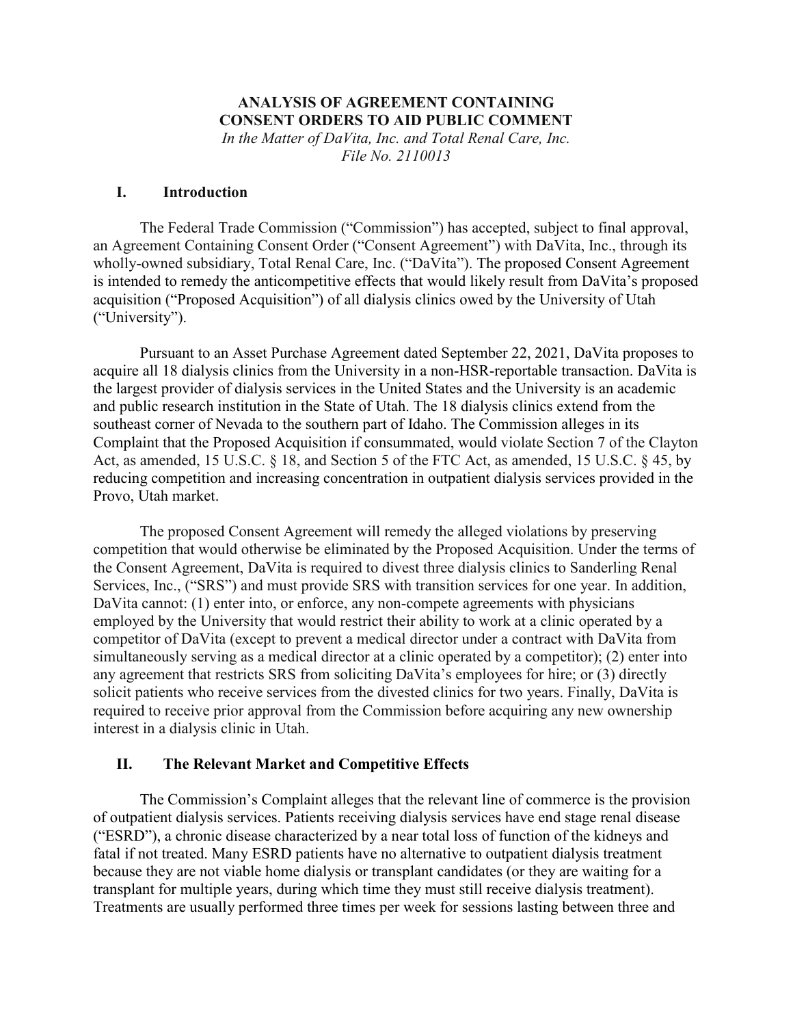## **ANALYSIS OF AGREEMENT CONTAINING CONSENT ORDERS TO AID PUBLIC COMMENT**

*In the Matter of DaVita, Inc. and Total Renal Care, Inc. File No. 2110013* 

# **I. Introduction**

The Federal Trade Commission ("Commission") has accepted, subject to final approval, an Agreement Containing Consent Order ("Consent Agreement") with DaVita, Inc., through its wholly-owned subsidiary, Total Renal Care, Inc. ("DaVita"). The proposed Consent Agreement is intended to remedy the anticompetitive effects that would likely result from DaVita's proposed acquisition ("Proposed Acquisition") of all dialysis clinics owed by the University of Utah ("University").

Pursuant to an Asset Purchase Agreement dated September 22, 2021, DaVita proposes to acquire all 18 dialysis clinics from the University in a non-HSR-reportable transaction. DaVita is the largest provider of dialysis services in the United States and the University is an academic and public research institution in the State of Utah. The 18 dialysis clinics extend from the southeast corner of Nevada to the southern part of Idaho. The Commission alleges in its Complaint that the Proposed Acquisition if consummated, would violate Section 7 of the Clayton Act, as amended, 15 U.S.C. § 18, and Section 5 of the FTC Act, as amended, 15 U.S.C. § 45, by reducing competition and increasing concentration in outpatient dialysis services provided in the Provo, Utah market.

The proposed Consent Agreement will remedy the alleged violations by preserving competition that would otherwise be eliminated by the Proposed Acquisition. Under the terms of the Consent Agreement, DaVita is required to divest three dialysis clinics to Sanderling Renal Services, Inc., ("SRS") and must provide SRS with transition services for one year. In addition, DaVita cannot: (1) enter into, or enforce, any non-compete agreements with physicians employed by the University that would restrict their ability to work at a clinic operated by a competitor of DaVita (except to prevent a medical director under a contract with DaVita from simultaneously serving as a medical director at a clinic operated by a competitor); (2) enter into any agreement that restricts SRS from soliciting DaVita's employees for hire; or (3) directly solicit patients who receive services from the divested clinics for two years. Finally, DaVita is required to receive prior approval from the Commission before acquiring any new ownership interest in a dialysis clinic in Utah.

### **II. The Relevant Market and Competitive Effects**

The Commission's Complaint alleges that the relevant line of commerce is the provision of outpatient dialysis services. Patients receiving dialysis services have end stage renal disease ("ESRD"), a chronic disease characterized by a near total loss of function of the kidneys and fatal if not treated. Many ESRD patients have no alternative to outpatient dialysis treatment because they are not viable home dialysis or transplant candidates (or they are waiting for a transplant for multiple years, during which time they must still receive dialysis treatment). Treatments are usually performed three times per week for sessions lasting between three and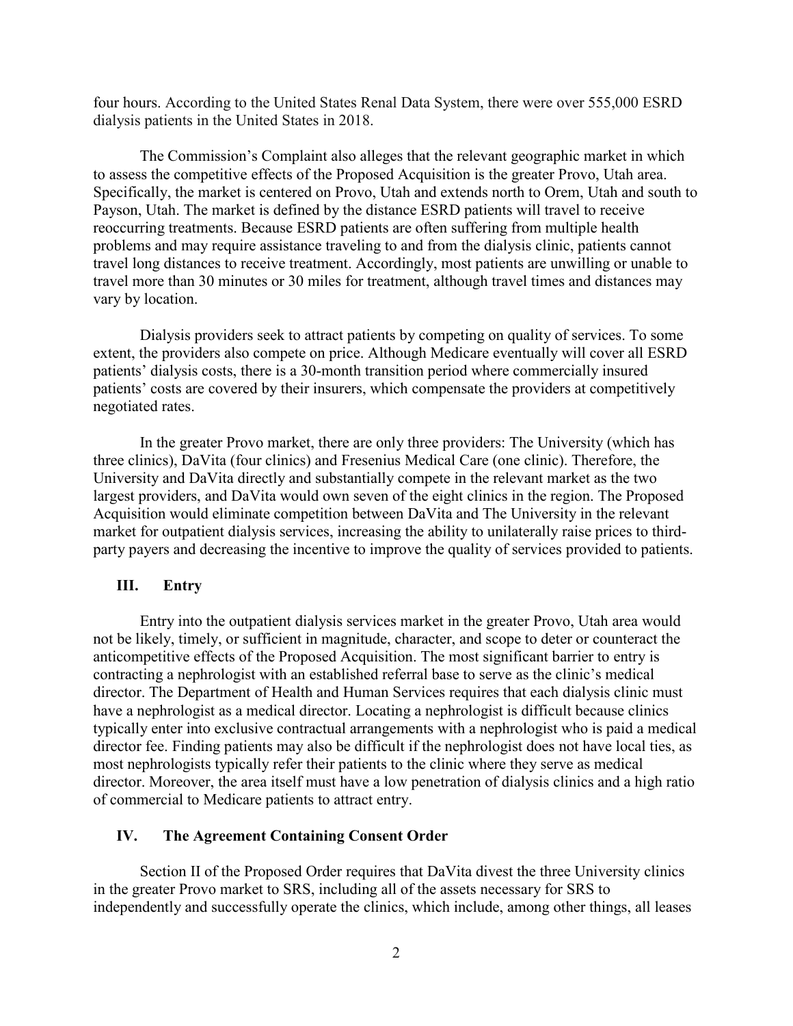four hours. According to the United States Renal Data System, there were over 555,000 ESRD dialysis patients in the United States in 2018.

The Commission's Complaint also alleges that the relevant geographic market in which to assess the competitive effects of the Proposed Acquisition is the greater Provo, Utah area. Specifically, the market is centered on Provo, Utah and extends north to Orem, Utah and south to Payson, Utah. The market is defined by the distance ESRD patients will travel to receive reoccurring treatments. Because ESRD patients are often suffering from multiple health problems and may require assistance traveling to and from the dialysis clinic, patients cannot travel long distances to receive treatment. Accordingly, most patients are unwilling or unable to travel more than 30 minutes or 30 miles for treatment, although travel times and distances may vary by location.

Dialysis providers seek to attract patients by competing on quality of services. To some extent, the providers also compete on price. Although Medicare eventually will cover all ESRD patients' dialysis costs, there is a 30-month transition period where commercially insured patients' costs are covered by their insurers, which compensate the providers at competitively negotiated rates.

In the greater Provo market, there are only three providers: The University (which has three clinics), DaVita (four clinics) and Fresenius Medical Care (one clinic). Therefore, the University and DaVita directly and substantially compete in the relevant market as the two largest providers, and DaVita would own seven of the eight clinics in the region. The Proposed Acquisition would eliminate competition between DaVita and The University in the relevant market for outpatient dialysis services, increasing the ability to unilaterally raise prices to thirdparty payers and decreasing the incentive to improve the quality of services provided to patients.

### **III. Entry**

Entry into the outpatient dialysis services market in the greater Provo, Utah area would not be likely, timely, or sufficient in magnitude, character, and scope to deter or counteract the anticompetitive effects of the Proposed Acquisition. The most significant barrier to entry is contracting a nephrologist with an established referral base to serve as the clinic's medical director. The Department of Health and Human Services requires that each dialysis clinic must have a nephrologist as a medical director. Locating a nephrologist is difficult because clinics typically enter into exclusive contractual arrangements with a nephrologist who is paid a medical director fee. Finding patients may also be difficult if the nephrologist does not have local ties, as most nephrologists typically refer their patients to the clinic where they serve as medical director. Moreover, the area itself must have a low penetration of dialysis clinics and a high ratio of commercial to Medicare patients to attract entry.

#### **IV. The Agreement Containing Consent Order**

Section II of the Proposed Order requires that DaVita divest the three University clinics in the greater Provo market to SRS, including all of the assets necessary for SRS to independently and successfully operate the clinics, which include, among other things, all leases